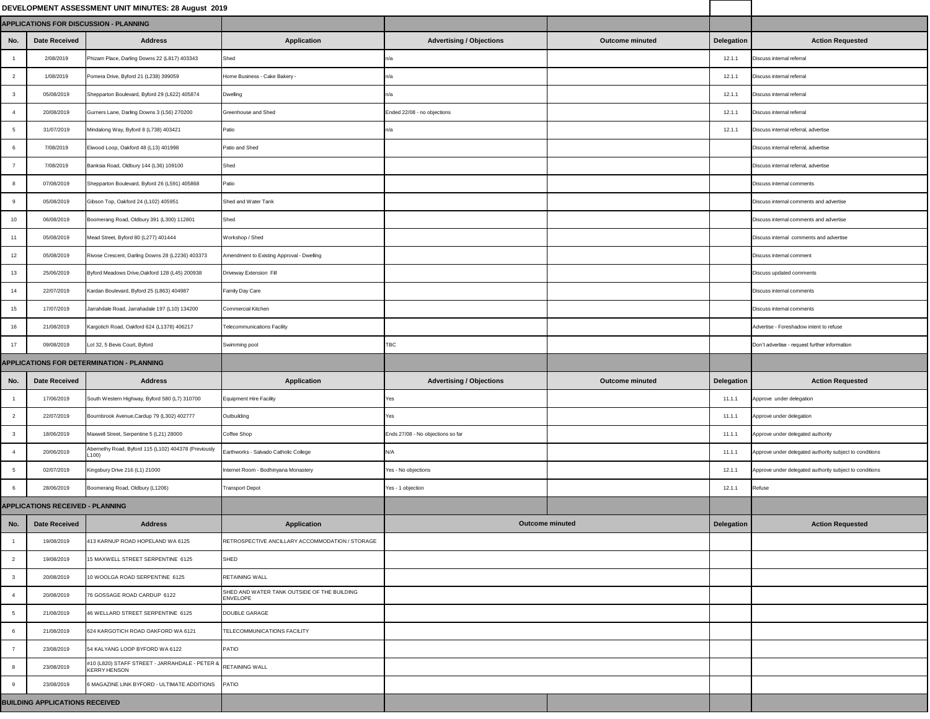## **DEVELOPMENT ASSESSMENT UNIT MINUTES: 28 August 2019**

| EVELOPMENT ASSESSMENT UNIT MINUTES: 28 AUGUST 2019 |                                        |                                                                                      |                                                                |                                   |                        |            |                                                         |
|----------------------------------------------------|----------------------------------------|--------------------------------------------------------------------------------------|----------------------------------------------------------------|-----------------------------------|------------------------|------------|---------------------------------------------------------|
| PPLICATIONS FOR DISCUSSION - PLANNING              |                                        |                                                                                      |                                                                |                                   |                        |            |                                                         |
| No.                                                | <b>Date Received</b>                   | <b>Address</b>                                                                       | <b>Application</b>                                             | <b>Advertising / Objections</b>   | <b>Outcome minuted</b> | Delegation | <b>Action Requested</b>                                 |
|                                                    | 2/08/2019                              | Phizam Place, Darling Downs 22 (L817) 403343                                         | Shed                                                           | n/a                               |                        | 12.1.1     | Discuss internal referral                               |
| $\overline{2}$                                     | 1/08/2019                              | Pomera Drive, Byford 21 (L238) 399059                                                | Home Business - Cake Bakery -                                  | In/a                              |                        | 12.1.1     | Discuss internal referral                               |
| $\mathbf{3}$                                       | 05/08/2019                             | Shepparton Boulevard, Byford 29 (L622) 405874                                        | <b>Dwelling</b>                                                |                                   |                        | 12.1.1     | Discuss internal referral                               |
| $\overline{4}$                                     | 20/08/2019                             | Gurners Lane, Darling Downs 3 (L56) 270200                                           | Greenhouse and Shed                                            | Ended 22/08 - no objections       |                        | 12.1.1     | Discuss internal referral                               |
| 5 <sup>5</sup>                                     | 31/07/2019                             | Mindalong Way, Byford 8 (L738) 403421                                                | Patio                                                          |                                   |                        | 12.1.1     | Discuss internal referral, advertise                    |
| 6                                                  | 7/08/2019                              | Elwood Loop, Oakford 48 (L13) 401998                                                 | Patio and Shed                                                 |                                   |                        |            | Discuss internal referral, advertise                    |
| $\overline{7}$                                     | 7/08/2019                              | Banksia Road, Oldbury 144 (L36) 109100                                               | Shed                                                           |                                   |                        |            | Discuss internal referral, advertise                    |
| 8                                                  | 07/08/2019                             | Shepparton Boulevard, Byford 26 (L591) 405868                                        | Patio                                                          |                                   |                        |            | Discuss internal comments                               |
| 9                                                  | 05/08/2019                             | Gibson Top, Oakford 24 (L102) 405951                                                 | Shed and Water Tank                                            |                                   |                        |            | Discuss internal comments and advertise                 |
| 10 <sub>1</sub>                                    | 06/08/2019                             | Boomerang Road, Oldbury 391 (L300) 112801                                            | <b>Shed</b>                                                    |                                   |                        |            | Discuss internal comments and advertise                 |
| 11                                                 | 05/08/2019                             | Mead Street, Byford 80 (L277) 401444                                                 | Workshop / Shed                                                |                                   |                        |            | Discuss internal comments and advertise                 |
| 12 <sub>2</sub>                                    | 05/08/2019                             | Rivose Crescent, Darling Downs 28 (L2236) 403373                                     | Amendment to Existing Approval - Dwelling                      |                                   |                        |            | Discuss internal comment                                |
| 13 <sup>°</sup>                                    | 25/06/2019                             | Byford Meadows Drive, Oakford 128 (L45) 200938                                       | <b>Driveway Extension Fill</b>                                 |                                   |                        |            | Discuss updated comments                                |
| 14                                                 | 22/07/2019                             | Kardan Boulevard, Byford 25 (L863) 404987                                            | <b>Family Day Care</b>                                         |                                   |                        |            | Discuss internal comments                               |
| 15 <sub>1</sub>                                    | 17/07/2019                             | Jarrahdale Road, Jarrahadale 197 (L10) 134200                                        | <b>Commercial Kitchen</b>                                      |                                   |                        |            | Discuss internal comments                               |
| 16                                                 | 21/08/2019                             | Kargotich Road, Oakford 624 (L1378) 406217                                           | <b>Telecommunications Facility</b>                             |                                   |                        |            | Advertise - Foreshadow intent to refuse                 |
| 17 <sub>1</sub>                                    | 09/08/2019                             | Lot 32, 5 Bevis Court, Byford                                                        | Swimming pool                                                  | <b>TBC</b>                        |                        |            | Don't advertise - request further information           |
|                                                    |                                        | PPLICATIONS FOR DETERMINATION - PLANNING                                             |                                                                |                                   |                        |            |                                                         |
| No.                                                | <b>Date Received</b>                   | <b>Address</b>                                                                       | <b>Application</b>                                             | <b>Advertising / Objections</b>   | <b>Outcome minuted</b> | Delegation | <b>Action Requested</b>                                 |
|                                                    | 17/06/2019                             | South Western Highway, Byford 580 (L7) 310700                                        | <b>Equipment Hire Facility</b>                                 | Yes                               |                        | 11.1.1     | Approve under delegation                                |
| $\overline{2}$                                     | 22/07/2019                             | Bournbrook Avenue, Cardup 79 (L302) 402777                                           | Outbuilding                                                    | Yes:                              |                        | 11.1.1     | Approve under delegation                                |
|                                                    | 18/06/2019                             | Maxwell Street, Serpentine 5 (L21) 28000                                             | Coffee Shop                                                    | Ends 27/08 - No objections so far |                        | 11.1.1     | Approve under delegated authority                       |
| 4                                                  | 20/06/2019                             | Abernethy Road, Byford 115 (L102) 404378 (Previously<br>100)                         | Earthworks - Salvado Catholic College                          | N/A                               |                        | 11.1.1     | Approve under delegated authority subject to conditions |
| 5 <sup>5</sup>                                     | 02/07/2019                             | Kingsbury Drive 216 (L1) 21000                                                       | Internet Room - Bodhinyana Monastery                           | Yes - No objections               |                        | 12.1.1     | Approve under delegated authority subject to conditions |
| 6                                                  | 28/06/2019                             | Boomerang Road, Oldbury (L1206)                                                      | <b>Transport Depot</b>                                         | Yes - 1 objection                 |                        | 12.1.1     | Refuse                                                  |
|                                                    | <b>PPLICATIONS RECEIVED - PLANNING</b> |                                                                                      |                                                                |                                   |                        |            |                                                         |
| No.                                                | <b>Date Received</b>                   | <b>Address</b>                                                                       | <b>Application</b>                                             | <b>Outcome minuted</b>            |                        | Delegation | <b>Action Requested</b>                                 |
|                                                    | 19/08/2019                             | 413 KARNUP ROAD HOPELAND WA 6125                                                     | RETROSPECTIVE ANCILLARY ACCOMMODATION / STORAGE                |                                   |                        |            |                                                         |
| $2^{\circ}$                                        | 19/08/2019                             | 15 MAXWELL STREET SERPENTINE 6125                                                    | <b>SHED</b>                                                    |                                   |                        |            |                                                         |
| 3 <sup>1</sup>                                     | 20/08/2019                             | 10 WOOLGA ROAD SERPENTINE 6125                                                       | <b>RETAINING WALL</b>                                          |                                   |                        |            |                                                         |
| $\overline{4}$                                     | 20/08/2019                             | 6 GOSSAGE ROAD CARDUP 6122                                                           | SHED AND WATER TANK OUTSIDE OF THE BUILDING<br><b>ENVELOPE</b> |                                   |                        |            |                                                         |
| 5 <sup>5</sup>                                     | 21/08/2019                             | 46 WELLARD STREET SERPENTINE 6125                                                    | DOUBLE GARAGE                                                  |                                   |                        |            |                                                         |
| 6                                                  | 21/08/2019                             | 624 KARGOTICH ROAD OAKFORD WA 6121                                                   | TELECOMMUNICATIONS FACILITY                                    |                                   |                        |            |                                                         |
| $\overline{7}$                                     | 23/08/2019                             | 54 KALYANG LOOP BYFORD WA 6122                                                       | <b>PATIO</b>                                                   |                                   |                        |            |                                                         |
| 8                                                  | 23/08/2019                             | #10 (L820) STAFF STREET - JARRAHDALE - PETER & RETAINING WALL<br><b>KERRY HENSON</b> |                                                                |                                   |                        |            |                                                         |
| 9                                                  | 23/08/2019                             | 6 MAGAZINE LINK BYFORD - ULTIMATE ADDITIONS PATIO                                    |                                                                |                                   |                        |            |                                                         |
|                                                    | <b>JILDING APPLICATIONS RECEIVED</b>   |                                                                                      |                                                                |                                   |                        |            |                                                         |
|                                                    |                                        |                                                                                      |                                                                |                                   |                        |            |                                                         |

|                         |                                         | <b>APPLICATIONS FOR DISCUSSION - PLANNING</b>                                        |                                                                |                                   |                        |                   |                                       |
|-------------------------|-----------------------------------------|--------------------------------------------------------------------------------------|----------------------------------------------------------------|-----------------------------------|------------------------|-------------------|---------------------------------------|
| No.                     | <b>Date Received</b>                    | <b>Address</b>                                                                       | <b>Application</b>                                             | <b>Advertising / Objections</b>   | <b>Outcome minuted</b> | Delegation        | <b>Action</b>                         |
|                         | 2/08/2019                               | Phizam Place, Darling Downs 22 (L817) 403343                                         | Shed                                                           | In/a                              |                        | 12.1.1            | Discuss internal referral             |
| $\overline{2}$          | 1/08/2019                               | Pomera Drive, Byford 21 (L238) 399059                                                | Home Business - Cake Bakery -                                  | n/a                               |                        | 12.1.1            | Discuss internal referral             |
| $\overline{\mathbf{3}}$ | 05/08/2019                              | Shepparton Boulevard, Byford 29 (L622) 405874                                        | <b>Dwelling</b>                                                | n/a                               |                        | 12.1.1            | Discuss internal referral             |
|                         | 20/08/2019                              | Gurners Lane, Darling Downs 3 (L56) 270200                                           | Greenhouse and Shed                                            | Ended 22/08 - no objections       |                        | 12.1.1            | Discuss internal referral             |
|                         | 31/07/2019                              | Mindalong Way, Byford 8 (L738) 403421                                                | Patio                                                          | In/a                              |                        | 12.1.1            | Discuss internal referral, advertise  |
| -6                      | 7/08/2019                               | Elwood Loop, Oakford 48 (L13) 401998                                                 | Patio and Shed                                                 |                                   |                        |                   | Discuss internal referral, advertise  |
|                         | 7/08/2019                               | Banksia Road, Oldbury 144 (L36) 109100                                               | Shed                                                           |                                   |                        |                   | Discuss internal referral, advertise  |
| - 8                     | 07/08/2019                              | Shepparton Boulevard, Byford 26 (L591) 405868                                        | Patio                                                          |                                   |                        |                   | Discuss internal comments             |
| - 9                     | 05/08/2019                              | Gibson Top, Oakford 24 (L102) 405951                                                 | Shed and Water Tank                                            |                                   |                        |                   | Discuss internal comments and ad      |
| 10                      | 06/08/2019                              | Boomerang Road, Oldbury 391 (L300) 112801                                            | Shed                                                           |                                   |                        |                   | Discuss internal comments and ad      |
|                         | 05/08/2019                              | Mead Street, Byford 80 (L277) 401444                                                 | Workshop / Shed                                                |                                   |                        |                   | Discuss internal comments and ad      |
| 12                      | 05/08/2019                              | Rivose Crescent, Darling Downs 28 (L2236) 403373                                     | Amendment to Existing Approval - Dwelling                      |                                   |                        |                   | Discuss internal comment              |
| 13                      | 25/06/2019                              | Byford Meadows Drive, Oakford 128 (L45) 200938                                       | Driveway Extension Fill                                        |                                   |                        |                   | Discuss updated comments              |
| 14                      | 22/07/2019                              | Kardan Boulevard, Byford 25 (L863) 404987                                            | <b>Family Day Care</b>                                         |                                   |                        |                   | Discuss internal comments             |
| 15                      | 17/07/2019                              | Jarrahdale Road, Jarrahadale 197 (L10) 134200                                        | <b>Commercial Kitchen</b>                                      |                                   |                        |                   | Discuss internal comments             |
| 16                      | 21/08/2019                              | Kargotich Road, Oakford 624 (L1378) 406217                                           | <b>Telecommunications Facility</b>                             |                                   |                        |                   | Advertise - Foreshadow intent to re   |
| 17                      | 09/08/2019                              | Lot 32, 5 Bevis Court, Byford                                                        | Swimming pool                                                  | <b>TBC</b>                        |                        |                   | Don't advertise - request further inf |
|                         |                                         | <b>APPLICATIONS FOR DETERMINATION - PLANNING</b>                                     |                                                                |                                   |                        |                   |                                       |
| No.                     | <b>Date Received</b>                    | <b>Address</b>                                                                       | <b>Application</b>                                             | <b>Advertising / Objections</b>   | <b>Outcome minuted</b> | <b>Delegation</b> | <b>Action</b>                         |
|                         | 17/06/2019                              | South Western Highway, Byford 580 (L7) 310700                                        | Equipment Hire Facility                                        | <b>Yes</b>                        |                        | 11.1.1            | Approve under delegation              |
| $\overline{2}$          | 22/07/2019                              | Bournbrook Avenue, Cardup 79 (L302) 402777                                           | Outbuilding                                                    | <b>Yes</b>                        |                        | 11.1.1            | Approve under delegation              |
|                         | 18/06/2019                              |                                                                                      |                                                                |                                   |                        |                   |                                       |
|                         |                                         | Maxwell Street, Serpentine 5 (L21) 28000                                             | Coffee Shop                                                    | Ends 27/08 - No objections so far |                        | 11.1.1            | Approve under delegated authority     |
|                         | 20/06/2019                              | Abernethy Road, Byford 115 (L102) 404378 (Previously<br>L100)                        | Earthworks - Salvado Catholic College                          | N/A                               |                        | 11.1.1            | Approve under delegated authority     |
| -5                      | 02/07/2019                              | Kingsbury Drive 216 (L1) 21000                                                       | Internet Room - Bodhinyana Monastery                           | Yes - No objections               |                        | 12.1.1            | Approve under delegated authority     |
| -6                      | 28/06/2019                              | Boomerang Road, Oldbury (L1206)                                                      | Transport Depot                                                | Yes - 1 objection                 |                        | 12.1.1            | Refuse                                |
|                         | <b>APPLICATIONS RECEIVED - PLANNING</b> |                                                                                      |                                                                |                                   |                        |                   |                                       |
| No.                     | <b>Date Received</b>                    | <b>Address</b>                                                                       | <b>Application</b>                                             |                                   | <b>Outcome minuted</b> | Delegation        | <b>Action</b>                         |
|                         | 19/08/2019                              | 413 KARNUP ROAD HOPELAND WA 6125                                                     | RETROSPECTIVE ANCILLARY ACCOMMODATION / STORAGE                |                                   |                        |                   |                                       |
| $\overline{2}$          | 19/08/2019                              | 15 MAXWELL STREET SERPENTINE 6125                                                    | <b>SHED</b>                                                    |                                   |                        |                   |                                       |
| $\mathbf{3}$            | 20/08/2019                              | 10 WOOLGA ROAD SERPENTINE 6125                                                       | <b>RETAINING WALL</b>                                          |                                   |                        |                   |                                       |
|                         | 20/08/2019                              | 76 GOSSAGE ROAD CARDUP 6122                                                          | SHED AND WATER TANK OUTSIDE OF THE BUILDING<br><b>ENVELOPE</b> |                                   |                        |                   |                                       |
| $5\overline{)}$         | 21/08/2019                              | 46 WELLARD STREET SERPENTINE 6125                                                    | DOUBLE GARAGE                                                  |                                   |                        |                   |                                       |
|                         | 21/08/2019                              | 624 KARGOTICH ROAD OAKFORD WA 6121                                                   | <b>TELECOMMUNICATIONS FACILITY</b>                             |                                   |                        |                   |                                       |
|                         | 23/08/2019                              | 54 KALYANG LOOP BYFORD WA 6122                                                       | <b>PATIO</b>                                                   |                                   |                        |                   |                                       |
|                         | 23/08/2019                              | #10 (L820) STAFF STREET - JARRAHDALE - PETER & RETAINING WALL<br><b>KERRY HENSON</b> |                                                                |                                   |                        |                   |                                       |
|                         | 23/08/2019                              | 6 MAGAZINE LINK BYFORD - ULTIMATE ADDITIONS PATIO                                    |                                                                |                                   |                        |                   |                                       |
|                         | <b>BUILDING APPLICATIONS RECEIVED</b>   |                                                                                      |                                                                |                                   |                        |                   |                                       |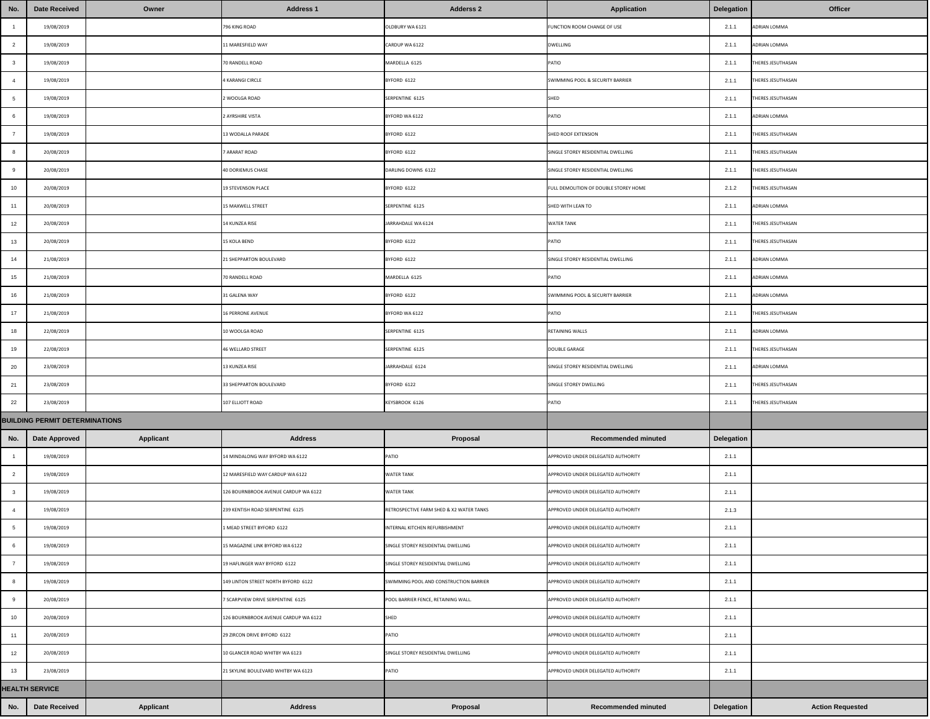| No.                      | <b>Date Received</b>                  | Owner            | <b>Address 1</b>                     | <b>Adderss 2</b>                         | <b>Application</b>                    | Delegation        | <b>Officer</b>           |
|--------------------------|---------------------------------------|------------------|--------------------------------------|------------------------------------------|---------------------------------------|-------------------|--------------------------|
| $\overline{\phantom{1}}$ | 19/08/2019                            |                  | 796 KING ROAD                        | OLDBURY WA 6121                          | FUNCTION ROOM CHANGE OF USE           | 2.1.1             | ADRIAN LOMMA             |
| $\overline{2}$           | 19/08/2019                            |                  | 11 MARESFIELD WAY                    | CARDUP WA 6122                           | <b>DWELLING</b>                       | 2.1.1             | ADRIAN LOMMA             |
| $\mathbf{3}$             | 19/08/2019                            |                  | 70 RANDELL ROAD                      | MARDELLA 6125                            | <b>PATIO</b>                          | 2.1.1             | THERES JESUTHASAN        |
| $\overline{4}$           | 19/08/2019                            |                  | <b>4 KARANGI CIRCLE</b>              | BYFORD 6122                              | SWIMMING POOL & SECURITY BARRIER      | 2.1.1             | THERES JESUTHASAN        |
| $5\overline{)}$          | 19/08/2019                            |                  | 2 WOOLGA ROAD                        | SERPENTINE 6125                          | SHED                                  | 2.1.1             | <b>THERES JESUTHASAN</b> |
| 6                        | 19/08/2019                            |                  | 2 AYRSHIRE VISTA                     | BYFORD WA 6122                           | <b>PATIO</b>                          | 2.1.1             | ADRIAN LOMMA             |
| $\overline{7}$           | 19/08/2019                            |                  | 13 WODALLA PARADE                    | BYFORD 6122                              | SHED ROOF EXTENSION                   | 2.1.1             | THERES JESUTHASAN        |
| 8                        | 20/08/2019                            |                  | 7 ARARAT ROAD                        | BYFORD 6122                              | SINGLE STOREY RESIDENTIAL DWELLING    | 2.1.1             | THERES JESUTHASAN        |
| 9                        | 20/08/2019                            |                  | 40 DORIEMUS CHASE                    | DARLING DOWNS 6122                       | SINGLE STOREY RESIDENTIAL DWELLING    | 2.1.1             | THERES JESUTHASAN        |
| 10                       | 20/08/2019                            |                  | <b>19 STEVENSON PLACE</b>            | BYFORD 6122                              | FULL DEMOLITION OF DOUBLE STOREY HOME | 2.1.2             | THERES JESUTHASAN        |
| 11                       | 20/08/2019                            |                  | 15 MAXWELL STREET                    | SERPENTINE 6125                          | SHED WITH LEAN TO                     | 2.1.1             | ADRIAN LOMMA             |
| 12                       | 20/08/2019                            |                  | 14 KUNZEA RISE                       | JARRAHDALE WA 6124                       | <b>WATER TANK</b>                     | 2.1.1             | THERES JESUTHASAN        |
| 13                       | 20/08/2019                            |                  | <b>15 KOLA BEND</b>                  | BYFORD 6122                              | <b>PATIO</b>                          | 2.1.1             | <b>THERES JESUTHASAN</b> |
| 14                       | 21/08/2019                            |                  | 21 SHEPPARTON BOULEVARD              | BYFORD 6122                              | SINGLE STOREY RESIDENTIAL DWELLING    | 2.1.1             | <b>ADRIAN LOMMA</b>      |
| 15                       | 21/08/2019                            |                  | 70 RANDELL ROAD                      | MARDELLA 6125                            | PATIO                                 | 2.1.1             | <b>ADRIAN LOMMA</b>      |
| 16                       | 21/08/2019                            |                  | 31 GALENA WAY                        | BYFORD 6122                              | SWIMMING POOL & SECURITY BARRIER      | 2.1.1             | <b>ADRIAN LOMMA</b>      |
| 17                       | 21/08/2019                            |                  | <b>16 PERRONE AVENUE</b>             | BYFORD WA 6122                           | PATIO                                 | 2.1.1             | <b>THERES JESUTHASAN</b> |
| 18                       | 22/08/2019                            |                  | 10 WOOLGA ROAD                       | SERPENTINE 6125                          | RETAINING WALLS                       | 2.1.1             | ADRIAN LOMMA             |
| 19                       | 22/08/2019                            |                  | 46 WELLARD STREET                    | SERPENTINE 6125                          | <b>DOUBLE GARAGE</b>                  | 2.1.1             | THERES JESUTHASAN        |
| 20                       | 23/08/2019                            |                  | 13 KUNZEA RISE                       | JARRAHDALE 6124                          | SINGLE STOREY RESIDENTIAL DWELLING    | 2.1.1             | <b>ADRIAN LOMMA</b>      |
| 21                       | 23/08/2019                            |                  | 33 SHEPPARTON BOULEVARD              | BYFORD 6122                              | SINGLE STOREY DWELLING                | 2.1.1             | <b>THERES JESUTHASAN</b> |
| 22                       | 23/08/2019                            |                  | 107 ELLIOTT ROAD                     | KEYSBROOK 6126                           | PATIO                                 | 2.1.1             | <b>THERES JESUTHASAN</b> |
|                          | <b>BUILDING PERMIT DETERMINATIONS</b> |                  |                                      |                                          |                                       |                   |                          |
| No.                      | <b>Date Approved</b>                  | <b>Applicant</b> | <b>Address</b>                       | Proposal                                 | <b>Recommended minuted</b>            | <b>Delegation</b> |                          |
|                          | 19/08/2019                            |                  | 14 MINDALONG WAY BYFORD WA 6122      | PATIO                                    | APPROVED UNDER DELEGATED AUTHORITY    | 2.1.1             |                          |
| $\overline{2}$           | 19/08/2019                            |                  | 12 MARESFIELD WAY CARDUP WA 6122     | <b>WATER TANK</b>                        | APPROVED UNDER DELEGATED AUTHORITY    | 2.1.1             |                          |
| $\mathbf{3}$             | 19/08/2019                            |                  | 126 BOURNBROOK AVENUE CARDUP WA 6122 | <b>WATER TANK</b>                        | APPROVED UNDER DELEGATED AUTHORITY    | 2.1.1             |                          |
|                          | 19/08/2019                            |                  | 239 KENTISH ROAD SERPENTINE 6125     | RETROSPECTIVE FARM SHED & X2 WATER TANKS | APPROVED UNDER DELEGATED AUTHORITY    | 2.1.3             |                          |
| $5\overline{)}$          | 19/08/2019                            |                  | 1 MEAD STREET BYFORD 6122            | INTERNAL KITCHEN REFURBISHMENT           | APPROVED UNDER DELEGATED AUTHORITY    | 2.1.1             |                          |
|                          | 19/08/2019                            |                  | 15 MAGAZINE LINK BYFORD WA 6122      | SINGLE STOREY RESIDENTIAL DWELLING       | APPROVED UNDER DELEGATED AUTHORITY    | 2.1.1             |                          |
|                          | 19/08/2019                            |                  | 19 HAFLINGER WAY BYFORD 6122         | SINGLE STOREY RESIDENTIAL DWELLING       | APPROVED UNDER DELEGATED AUTHORITY    | 2.1.1             |                          |
|                          | 19/08/2019                            |                  | 149 LINTON STREET NORTH BYFORD 6122  | SWIMMING POOL AND CONSTRUCTION BARRIER   | APPROVED UNDER DELEGATED AUTHORITY    | 2.1.1             |                          |
|                          | 20/08/2019                            |                  | 7 SCARPVIEW DRIVE SERPENTINE 6125    | POOL BARRIER FENCE, RETAINING WALL.      | APPROVED UNDER DELEGATED AUTHORITY    | 2.1.1             |                          |
| 10                       | 20/08/2019                            |                  | 126 BOURNBROOK AVENUE CARDUP WA 6122 | <b>SHED</b>                              | APPROVED UNDER DELEGATED AUTHORITY    | 2.1.1             |                          |
| 11                       | 20/08/2019                            |                  | 29 ZIRCON DRIVE BYFORD 6122          | PATIO                                    | APPROVED UNDER DELEGATED AUTHORITY    | 2.1.1             |                          |
| 12                       | 20/08/2019                            |                  | 10 GLANCER ROAD WHITBY WA 6123       | SINGLE STOREY RESIDENTIAL DWELLING       | APPROVED UNDER DELEGATED AUTHORITY    | 2.1.1             |                          |
| 13                       | 23/08/2019                            |                  | 21 SKYLINE BOULEVARD WHITBY WA 6123  | PATIO                                    | APPROVED UNDER DELEGATED AUTHORITY    | 2.1.1             |                          |
|                          | <b>HEALTH SERVICE</b>                 |                  |                                      |                                          |                                       |                   |                          |
| No.                      | <b>Date Received</b>                  | <b>Applicant</b> | <b>Address</b>                       | Proposal                                 | <b>Recommended minuted</b>            | <b>Delegation</b> | <b>Action Requested</b>  |

| No.             | <b>Date Received</b>                  | Owner            | <b>Address 1</b>                     | <b>Adderss 2</b>                         | <b>Application</b>                    | <b>Delegation</b> | <b>Office</b>       |
|-----------------|---------------------------------------|------------------|--------------------------------------|------------------------------------------|---------------------------------------|-------------------|---------------------|
|                 | 19/08/2019                            |                  | 796 KING ROAD                        | OLDBURY WA 6121                          | FUNCTION ROOM CHANGE OF USE           | 2.1.1             | <b>ADRIAN LOMMA</b> |
| $\overline{2}$  | 19/08/2019                            |                  | 11 MARESFIELD WAY                    | CARDUP WA 6122                           | <b>DWELLING</b>                       | 2.1.1             | <b>ADRIAN LOMMA</b> |
| $\mathbf{3}$    | 19/08/2019                            |                  | 70 RANDELL ROAD                      | MARDELLA 6125                            | <b>PATIO</b>                          | 2.1.1             | THERES JESUTHASAN   |
|                 | 19/08/2019                            |                  | 4 KARANGI CIRCLE                     | BYFORD 6122                              | SWIMMING POOL & SECURITY BARRIER      | 2.1.1             | THERES JESUTHASAN   |
| $5\overline{5}$ | 19/08/2019                            |                  | 2 WOOLGA ROAD                        | SERPENTINE 6125                          | SHED                                  | 2.1.1             | THERES JESUTHASAN   |
| 6               | 19/08/2019                            |                  | 2 AYRSHIRE VISTA                     | BYFORD WA 6122                           | <b>PATIO</b>                          | 2.1.1             | <b>ADRIAN LOMMA</b> |
| $\overline{7}$  | 19/08/2019                            |                  | 13 WODALLA PARADE                    | BYFORD 6122                              | SHED ROOF EXTENSION                   | 2.1.1             | THERES JESUTHASAN   |
| 8               | 20/08/2019                            |                  | 7 ARARAT ROAD                        | BYFORD 6122                              | SINGLE STOREY RESIDENTIAL DWELLING    | 2.1.1             | THERES JESUTHASAN   |
| 9               | 20/08/2019                            |                  | 40 DORIEMUS CHASE                    | DARLING DOWNS 6122                       | SINGLE STOREY RESIDENTIAL DWELLING    | 2.1.1             | THERES JESUTHASAN   |
| 10              | 20/08/2019                            |                  | 19 STEVENSON PLACE                   | BYFORD 6122                              | FULL DEMOLITION OF DOUBLE STOREY HOME | 2.1.2             | THERES JESUTHASAN   |
| 11              | 20/08/2019                            |                  | <b>15 MAXWELL STREET</b>             | SERPENTINE 6125                          | SHED WITH LEAN TO                     | 2.1.1             | <b>ADRIAN LOMMA</b> |
| 12              | 20/08/2019                            |                  | 14 KUNZEA RISE                       | JARRAHDALE WA 6124                       | <b>WATER TANK</b>                     | 2.1.1             | THERES JESUTHASAN   |
| 13              | 20/08/2019                            |                  | <b>15 KOLA BEND</b>                  | BYFORD 6122                              | <b>PATIO</b>                          | 2.1.1             | THERES JESUTHASAN   |
| 14              | 21/08/2019                            |                  | 21 SHEPPARTON BOULEVARD              | BYFORD 6122                              | SINGLE STOREY RESIDENTIAL DWELLING    | 2.1.1             | ADRIAN LOMMA        |
| 15              | 21/08/2019                            |                  | 70 RANDELL ROAD                      | MARDELLA 6125                            | <b>PATIO</b>                          | 2.1.1             | <b>ADRIAN LOMMA</b> |
| 16              | 21/08/2019                            |                  | 31 GALENA WAY                        | BYFORD 6122                              | SWIMMING POOL & SECURITY BARRIER      | 2.1.1             | <b>ADRIAN LOMMA</b> |
| 17              | 21/08/2019                            |                  | <b>16 PERRONE AVENUE</b>             | BYFORD WA 6122                           | <b>PATIO</b>                          | 2.1.1             | THERES JESUTHASAN   |
| 18              | 22/08/2019                            |                  | 10 WOOLGA ROAD                       | SERPENTINE 6125                          | RETAINING WALLS                       | 2.1.1             | <b>ADRIAN LOMMA</b> |
| 19              | 22/08/2019                            |                  | 46 WELLARD STREET                    | SERPENTINE 6125                          | <b>DOUBLE GARAGE</b>                  | 2.1.1             | THERES JESUTHASAN   |
| 20              | 23/08/2019                            |                  | 13 KUNZEA RISE                       | JARRAHDALE 6124                          | SINGLE STOREY RESIDENTIAL DWELLING    | 2.1.1             | ADRIAN LOMMA        |
| 21              | 23/08/2019                            |                  | 33 SHEPPARTON BOULEVARD              | BYFORD 6122                              | SINGLE STOREY DWELLING                | 2.1.1             | THERES JESUTHASAN   |
| 22              | 23/08/2019                            |                  | 107 ELLIOTT ROAD                     | KEYSBROOK 6126                           | <b>PATIO</b>                          | 2.1.1             | THERES JESUTHASAN   |
|                 | <b>BUILDING PERMIT DETERMINATIONS</b> |                  |                                      |                                          |                                       |                   |                     |
| No.             | <b>Date Approved</b>                  | <b>Applicant</b> | <b>Address</b>                       | <b>Proposal</b>                          | <b>Recommended minuted</b>            | <b>Delegation</b> |                     |
|                 | 19/08/2019                            |                  | 14 MINDALONG WAY BYFORD WA 6122      | PATIO                                    | APPROVED UNDER DELEGATED AUTHORITY    | 2.1.1             |                     |
| $\overline{2}$  | 19/08/2019                            |                  | 12 MARESFIELD WAY CARDUP WA 6122     | <b>WATER TANK</b>                        | APPROVED UNDER DELEGATED AUTHORITY    | 2.1.1             |                     |
|                 | 19/08/2019                            |                  | 126 BOURNBROOK AVENUE CARDUP WA 6122 | <b>WATER TANK</b>                        | APPROVED UNDER DELEGATED AUTHORITY    | 2.1.1             |                     |
|                 | 19/08/2019                            |                  | 239 KENTISH ROAD SERPENTINE 6125     | RETROSPECTIVE FARM SHED & X2 WATER TANKS | APPROVED UNDER DELEGATED AUTHORITY    | 2.1.3             |                     |
|                 | 19/08/2019                            |                  | 1 MEAD STREET BYFORD 6122            | INTERNAL KITCHEN REFURBISHMENT           | APPROVED UNDER DELEGATED AUTHORITY    | 2.1.1             |                     |
| - 6             | 19/08/2019                            |                  | 15 MAGAZINE LINK BYFORD WA 6122      | SINGLE STOREY RESIDENTIAL DWELLING       | APPROVED UNDER DELEGATED AUTHORITY    | 2.1.1             |                     |
|                 | 19/08/2019                            |                  | 19 HAFLINGER WAY BYFORD 6122         | SINGLE STOREY RESIDENTIAL DWELLING       | APPROVED UNDER DELEGATED AUTHORITY    | 2.1.1             |                     |
|                 | 19/08/2019                            |                  | 149 LINTON STREET NORTH BYFORD 6122  | SWIMMING POOL AND CONSTRUCTION BARRIER   | APPROVED UNDER DELEGATED AUTHORITY    | 2.1.1             |                     |
|                 | 20/08/2019                            |                  | 7 SCARPVIEW DRIVE SERPENTINE 6125    | POOL BARRIER FENCE, RETAINING WALL.      | APPROVED UNDER DELEGATED AUTHORITY    | 2.1.1             |                     |
| 10              | 20/08/2019                            |                  | 126 BOURNBROOK AVENUE CARDUP WA 6122 | SHED                                     | APPROVED UNDER DELEGATED AUTHORITY    | 2.1.1             |                     |
| 11              | 20/08/2019                            |                  | 29 ZIRCON DRIVE BYFORD 6122          | <b>PATIO</b>                             | APPROVED UNDER DELEGATED AUTHORITY    | 2.1.1             |                     |
| 12              | 20/08/2019                            |                  | 10 GLANCER ROAD WHITBY WA 6123       | SINGLE STOREY RESIDENTIAL DWELLING       | APPROVED UNDER DELEGATED AUTHORITY    | 2.1.1             |                     |
| 13              | 23/08/2019                            |                  | 21 SKYLINE BOULEVARD WHITBY WA 6123  | <b>PATIO</b>                             | APPROVED UNDER DELEGATED AUTHORITY    | 2.1.1             |                     |
|                 | <b>HEALTH SERVICE</b>                 |                  |                                      |                                          |                                       |                   |                     |
| No.             | <b>Date Received</b>                  | <b>Applicant</b> | <b>Address</b>                       | <b>Proposal</b>                          | <b>Recommended minuted</b>            | <b>Delegation</b> | <b>Action Req</b>   |
|                 |                                       |                  |                                      |                                          |                                       |                   |                     |

| er             |  |
|----------------|--|
|                |  |
|                |  |
|                |  |
|                |  |
|                |  |
|                |  |
|                |  |
|                |  |
|                |  |
|                |  |
|                |  |
|                |  |
|                |  |
|                |  |
|                |  |
|                |  |
|                |  |
|                |  |
|                |  |
|                |  |
|                |  |
|                |  |
|                |  |
|                |  |
|                |  |
|                |  |
|                |  |
|                |  |
|                |  |
|                |  |
|                |  |
|                |  |
|                |  |
|                |  |
|                |  |
|                |  |
|                |  |
| <b>quested</b> |  |